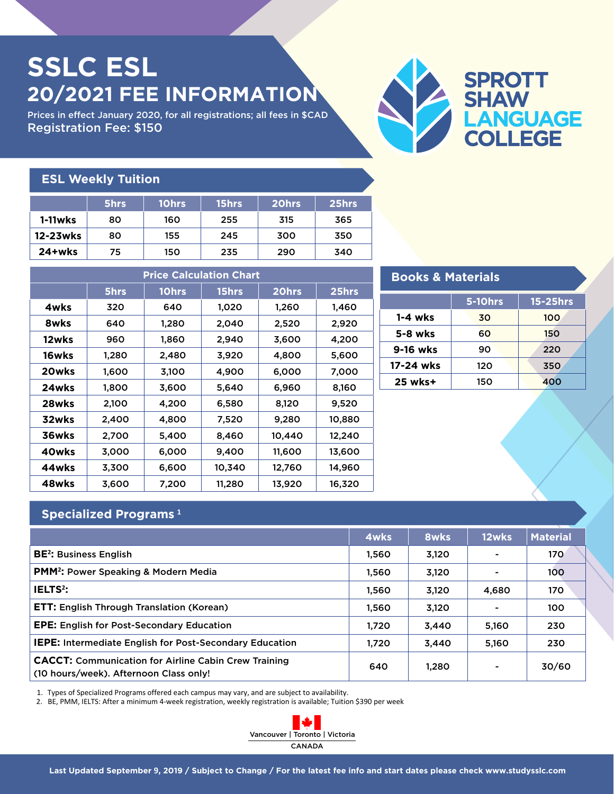## **SSLC ESL 20/2021 FEE INFORMATION**

Prices in effect January 2020, for all registrations; all fees in \$CAD Registration Fee: \$150



| <b>ESL Weekly Tuition</b> |      |       |       |       |       |  |
|---------------------------|------|-------|-------|-------|-------|--|
|                           | 5hrs | 10hrs | 15hrs | 20hrs | 25hrs |  |
| 1-11wks                   | 80   | 160   | 255   | 315   | 365   |  |
| 12-23wks                  | 80   | 155   | 245   | 300   | 350   |  |
| $24+w$ ks                 | 75   | 150   | 235   | 290   | 340   |  |

| <b>Price Calculation Chart</b> |       |       |        |        |        |  |  |
|--------------------------------|-------|-------|--------|--------|--------|--|--|
|                                | 5hrs  | 10hrs | 15hrs  | 20hrs  | 25hrs  |  |  |
| 4wks                           | 320   | 640   | 1,020  | 1,260  | 1,460  |  |  |
| 8wks                           | 640   | 1,280 | 2,040  | 2,520  | 2,920  |  |  |
| 12wks                          | 960   | 1,860 | 2,940  | 3,600  | 4,200  |  |  |
| 16wks                          | 1,280 | 2,480 | 3,920  | 4,800  | 5,600  |  |  |
| 20wks                          | 1,600 | 3,100 | 4,900  | 6,000  | 7,000  |  |  |
| 24wks                          | 1,800 | 3,600 | 5,640  | 6,960  | 8,160  |  |  |
| 28wks                          | 2,100 | 4,200 | 6,580  | 8,120  | 9,520  |  |  |
| 32wks                          | 2,400 | 4,800 | 7,520  | 9,280  | 10,880 |  |  |
| 36wks                          | 2,700 | 5,400 | 8,460  | 10,440 | 12,240 |  |  |
| 40wks                          | 3,000 | 6,000 | 9,400  | 11,600 | 13,600 |  |  |
| 44wks                          | 3,300 | 6,600 | 10,340 | 12,760 | 14,960 |  |  |
| 48wks                          | 3,600 | 7,200 | 11,280 | 13,920 | 16,320 |  |  |

| <b>Books &amp; Materials</b> |                |          |  |  |  |
|------------------------------|----------------|----------|--|--|--|
|                              | <b>5-10hrs</b> | 15-25hrs |  |  |  |
| $1 - 4$ wks                  | 30             | 100      |  |  |  |
| 5-8 wks                      | 60             | 150      |  |  |  |
| 9-16 wks                     | 90             | 220      |  |  |  |
| 17-24 wks                    | 120            | 350      |  |  |  |
| 25 wks+                      | 150            | 400      |  |  |  |

## **Specialized Programs <sup>1</sup>**

|                                                                                                       | 4wks  | 8wks  | 12wks | <b>Material</b> |
|-------------------------------------------------------------------------------------------------------|-------|-------|-------|-----------------|
| <b>BE<sup>2</sup></b> : Business English                                                              | 1.560 | 3,120 |       | 170             |
| <b>PMM<sup>2</sup>:</b> Power Speaking & Modern Media                                                 | 1,560 | 3,120 |       | 100             |
| IELTS <sup>2</sup> :                                                                                  | 1,560 | 3,120 | 4,680 | 170             |
| <b>ETT: English Through Translation (Korean)</b>                                                      | 1.560 | 3,120 | ۰     | 100             |
| <b>EPE:</b> English for Post-Secondary Education                                                      | 1.720 | 3.440 | 5,160 | 230             |
| <b>IEPE:</b> Intermediate English for Post-Secondary Education                                        | 1.720 | 3.440 | 5,160 | 230             |
| <b>CACCT:</b> Communication for Airline Cabin Crew Training<br>(10 hours/week). Afternoon Class only! | 640   | 1,280 |       | 30/60           |

1. Types of Specialized Programs offered each campus may vary, and are subject to availability.

2. BE, PMM, IELTS: After a minimum 4-week registration, weekly registration is available; Tuition \$390 per week